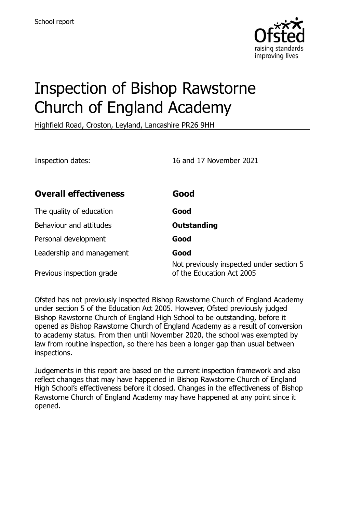

# Inspection of Bishop Rawstorne Church of England Academy

Highfield Road, Croston, Leyland, Lancashire PR26 9HH

Inspection dates: 16 and 17 November 2021

| <b>Overall effectiveness</b> | Good                                                                  |
|------------------------------|-----------------------------------------------------------------------|
| The quality of education     | Good                                                                  |
| Behaviour and attitudes      | <b>Outstanding</b>                                                    |
| Personal development         | Good                                                                  |
| Leadership and management    | Good                                                                  |
| Previous inspection grade    | Not previously inspected under section 5<br>of the Education Act 2005 |

Ofsted has not previously inspected Bishop Rawstorne Church of England Academy under section 5 of the Education Act 2005. However, Ofsted previously judged Bishop Rawstorne Church of England High School to be outstanding, before it opened as Bishop Rawstorne Church of England Academy as a result of conversion to academy status. From then until November 2020, the school was exempted by law from routine inspection, so there has been a longer gap than usual between inspections.

Judgements in this report are based on the current inspection framework and also reflect changes that may have happened in Bishop Rawstorne Church of England High School's effectiveness before it closed. Changes in the effectiveness of Bishop Rawstorne Church of England Academy may have happened at any point since it opened.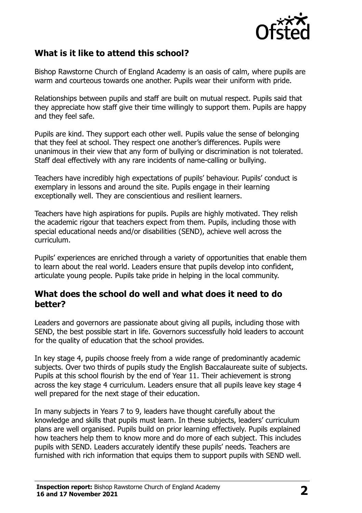

### **What is it like to attend this school?**

Bishop Rawstorne Church of England Academy is an oasis of calm, where pupils are warm and courteous towards one another. Pupils wear their uniform with pride.

Relationships between pupils and staff are built on mutual respect. Pupils said that they appreciate how staff give their time willingly to support them. Pupils are happy and they feel safe.

Pupils are kind. They support each other well. Pupils value the sense of belonging that they feel at school. They respect one another's differences. Pupils were unanimous in their view that any form of bullying or discrimination is not tolerated. Staff deal effectively with any rare incidents of name-calling or bullying.

Teachers have incredibly high expectations of pupils' behaviour. Pupils' conduct is exemplary in lessons and around the site. Pupils engage in their learning exceptionally well. They are conscientious and resilient learners.

Teachers have high aspirations for pupils. Pupils are highly motivated. They relish the academic rigour that teachers expect from them. Pupils, including those with special educational needs and/or disabilities (SEND), achieve well across the curriculum.

Pupils' experiences are enriched through a variety of opportunities that enable them to learn about the real world. Leaders ensure that pupils develop into confident, articulate young people. Pupils take pride in helping in the local community.

#### **What does the school do well and what does it need to do better?**

Leaders and governors are passionate about giving all pupils, including those with SEND, the best possible start in life. Governors successfully hold leaders to account for the quality of education that the school provides.

In key stage 4, pupils choose freely from a wide range of predominantly academic subjects. Over two thirds of pupils study the English Baccalaureate suite of subjects. Pupils at this school flourish by the end of Year 11. Their achievement is strong across the key stage 4 curriculum. Leaders ensure that all pupils leave key stage 4 well prepared for the next stage of their education.

In many subjects in Years 7 to 9, leaders have thought carefully about the knowledge and skills that pupils must learn. In these subjects, leaders' curriculum plans are well organised. Pupils build on prior learning effectively. Pupils explained how teachers help them to know more and do more of each subject. This includes pupils with SEND. Leaders accurately identify these pupils' needs. Teachers are furnished with rich information that equips them to support pupils with SEND well.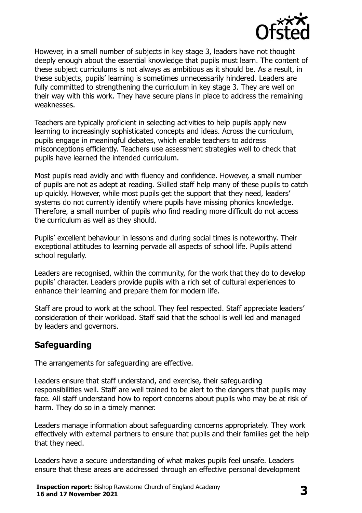

However, in a small number of subjects in key stage 3, leaders have not thought deeply enough about the essential knowledge that pupils must learn. The content of these subject curriculums is not always as ambitious as it should be. As a result, in these subjects, pupils' learning is sometimes unnecessarily hindered. Leaders are fully committed to strengthening the curriculum in key stage 3. They are well on their way with this work. They have secure plans in place to address the remaining weaknesses.

Teachers are typically proficient in selecting activities to help pupils apply new learning to increasingly sophisticated concepts and ideas. Across the curriculum, pupils engage in meaningful debates, which enable teachers to address misconceptions efficiently. Teachers use assessment strategies well to check that pupils have learned the intended curriculum.

Most pupils read avidly and with fluency and confidence. However, a small number of pupils are not as adept at reading. Skilled staff help many of these pupils to catch up quickly. However, while most pupils get the support that they need, leaders' systems do not currently identify where pupils have missing phonics knowledge. Therefore, a small number of pupils who find reading more difficult do not access the curriculum as well as they should.

Pupils' excellent behaviour in lessons and during social times is noteworthy. Their exceptional attitudes to learning pervade all aspects of school life. Pupils attend school regularly.

Leaders are recognised, within the community, for the work that they do to develop pupils' character. Leaders provide pupils with a rich set of cultural experiences to enhance their learning and prepare them for modern life.

Staff are proud to work at the school. They feel respected. Staff appreciate leaders' consideration of their workload. Staff said that the school is well led and managed by leaders and governors.

#### **Safeguarding**

The arrangements for safeguarding are effective.

Leaders ensure that staff understand, and exercise, their safeguarding responsibilities well. Staff are well trained to be alert to the dangers that pupils may face. All staff understand how to report concerns about pupils who may be at risk of harm. They do so in a timely manner.

Leaders manage information about safeguarding concerns appropriately. They work effectively with external partners to ensure that pupils and their families get the help that they need.

Leaders have a secure understanding of what makes pupils feel unsafe. Leaders ensure that these areas are addressed through an effective personal development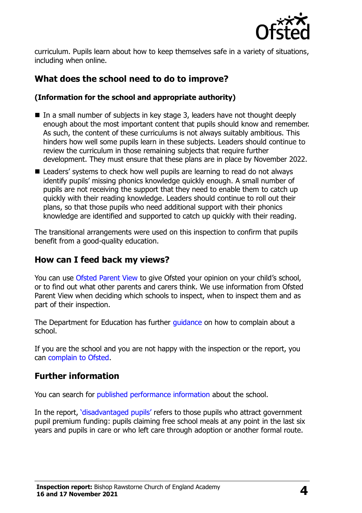

curriculum. Pupils learn about how to keep themselves safe in a variety of situations, including when online.

# **What does the school need to do to improve?**

#### **(Information for the school and appropriate authority)**

- In a small number of subjects in key stage 3, leaders have not thought deeply enough about the most important content that pupils should know and remember. As such, the content of these curriculums is not always suitably ambitious. This hinders how well some pupils learn in these subjects. Leaders should continue to review the curriculum in those remaining subjects that require further development. They must ensure that these plans are in place by November 2022.
- Leaders' systems to check how well pupils are learning to read do not always identify pupils' missing phonics knowledge quickly enough. A small number of pupils are not receiving the support that they need to enable them to catch up quickly with their reading knowledge. Leaders should continue to roll out their plans, so that those pupils who need additional support with their phonics knowledge are identified and supported to catch up quickly with their reading.

The transitional arrangements were used on this inspection to confirm that pupils benefit from a good-quality education.

## **How can I feed back my views?**

You can use [Ofsted Parent View](http://parentview.ofsted.gov.uk/) to give Ofsted your opinion on your child's school, or to find out what other parents and carers think. We use information from Ofsted Parent View when deciding which schools to inspect, when to inspect them and as part of their inspection.

The Department for Education has further quidance on how to complain about a school.

If you are the school and you are not happy with the inspection or the report, you can [complain to Ofsted.](http://www.gov.uk/complain-ofsted-report)

#### **Further information**

You can search for [published performance information](http://www.compare-school-performance.service.gov.uk/) about the school.

In the report, '[disadvantaged pupils](http://www.gov.uk/guidance/pupil-premium-information-for-schools-and-alternative-provision-settings)' refers to those pupils who attract government pupil premium funding: pupils claiming free school meals at any point in the last six years and pupils in care or who left care through adoption or another formal route.

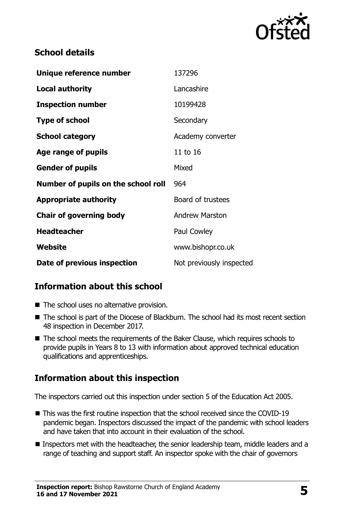

### **School details**

| Unique reference number             | 137296                   |
|-------------------------------------|--------------------------|
| <b>Local authority</b>              | Lancashire               |
| <b>Inspection number</b>            | 10199428                 |
| <b>Type of school</b>               | Secondary                |
| <b>School category</b>              | Academy converter        |
| Age range of pupils                 | 11 to 16                 |
| <b>Gender of pupils</b>             | Mixed                    |
| Number of pupils on the school roll | 964                      |
| <b>Appropriate authority</b>        | Board of trustees        |
| <b>Chair of governing body</b>      | <b>Andrew Marston</b>    |
| <b>Headteacher</b>                  | Paul Cowley              |
| Website                             | www.bishopr.co.uk        |
| Date of previous inspection         | Not previously inspected |

## **Information about this school**

- The school uses no alternative provision.
- The school is part of the Diocese of Blackburn. The school had its most recent section 48 inspection in December 2017.
- The school meets the requirements of the Baker Clause, which requires schools to provide pupils in Years 8 to 13 with information about approved technical education qualifications and apprenticeships.

## **Information about this inspection**

The inspectors carried out this inspection under section 5 of the Education Act 2005.

- This was the first routine inspection that the school received since the COVID-19 pandemic began. Inspectors discussed the impact of the pandemic with school leaders and have taken that into account in their evaluation of the school.
- Inspectors met with the headteacher, the senior leadership team, middle leaders and a range of teaching and support staff. An inspector spoke with the chair of governors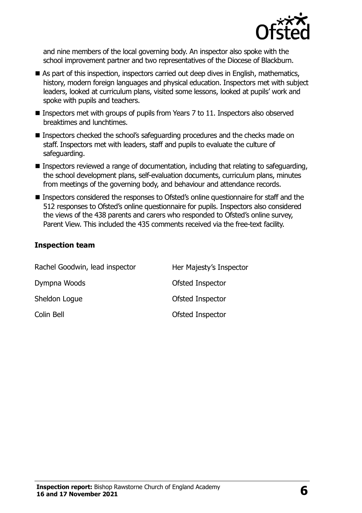

and nine members of the local governing body. An inspector also spoke with the school improvement partner and two representatives of the Diocese of Blackburn.

- As part of this inspection, inspectors carried out deep dives in English, mathematics, history, modern foreign languages and physical education. Inspectors met with subject leaders, looked at curriculum plans, visited some lessons, looked at pupils' work and spoke with pupils and teachers.
- Inspectors met with groups of pupils from Years 7 to 11. Inspectors also observed breaktimes and lunchtimes.
- Inspectors checked the school's safeguarding procedures and the checks made on staff. Inspectors met with leaders, staff and pupils to evaluate the culture of safeguarding.
- Inspectors reviewed a range of documentation, including that relating to safeguarding, the school development plans, self-evaluation documents, curriculum plans, minutes from meetings of the governing body, and behaviour and attendance records.
- Inspectors considered the responses to Ofsted's online questionnaire for staff and the 512 responses to Ofsted's online questionnaire for pupils. Inspectors also considered the views of the 438 parents and carers who responded to Ofsted's online survey, Parent View. This included the 435 comments received via the free-text facility.

#### **Inspection team**

| Rachel Goodwin, lead inspector | Her Majesty's Inspector |
|--------------------------------|-------------------------|
| Dympna Woods                   | Ofsted Inspector        |
| Sheldon Logue                  | Ofsted Inspector        |
| Colin Bell                     | Ofsted Inspector        |